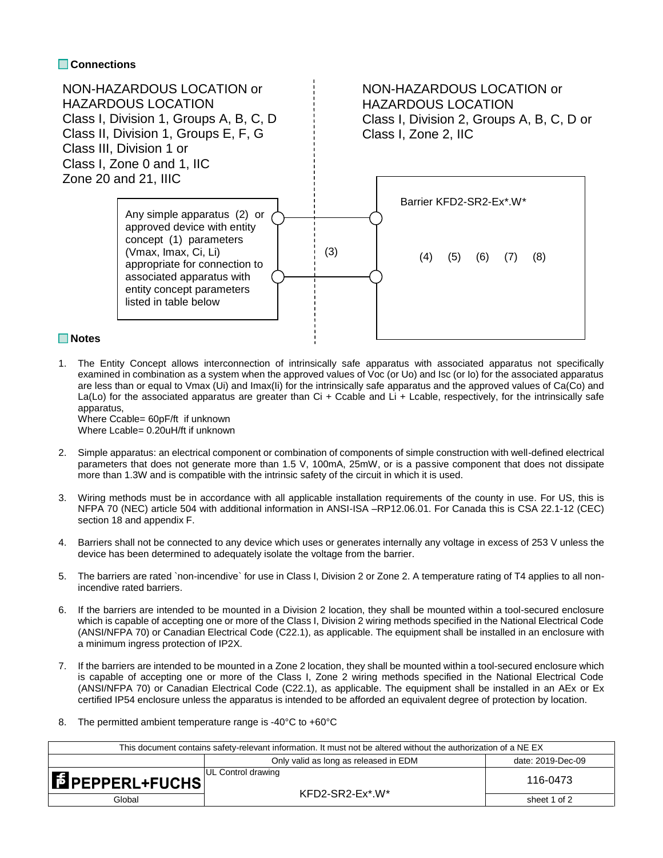## **Connections**



- 
- 1. The Entity Concept allows interconnection of intrinsically safe apparatus with associated apparatus not specifically examined in combination as a system when the approved values of Voc (or Uo) and Isc (or Io) for the associated apparatus are less than or equal to Vmax (Ui) and Imax(Ii) for the intrinsically safe apparatus and the approved values of Ca(Co) and La(Lo) for the associated apparatus are greater than  $Ci + Ccable$  and  $Li + Ccable$ , respectively, for the intrinsically safe apparatus,

Where Ccable= 60pF/ft if unknown Where Lcable= 0.20uH/ft if unknown

- 2. Simple apparatus: an electrical component or combination of components of simple construction with well-defined electrical parameters that does not generate more than 1.5 V, 100mA, 25mW, or is a passive component that does not dissipate more than 1.3W and is compatible with the intrinsic safety of the circuit in which it is used.
- 3. Wiring methods must be in accordance with all applicable installation requirements of the county in use. For US, this is NFPA 70 (NEC) article 504 with additional information in ANSI-ISA –RP12.06.01. For Canada this is CSA 22.1-12 (CEC) section 18 and appendix F.
- 4. Barriers shall not be connected to any device which uses or generates internally any voltage in excess of 253 V unless the device has been determined to adequately isolate the voltage from the barrier.
- 5. The barriers are rated `non-incendive` for use in Class I, Division 2 or Zone 2. A temperature rating of T4 applies to all nonincendive rated barriers.
- 6. If the barriers are intended to be mounted in a Division 2 location, they shall be mounted within a tool-secured enclosure which is capable of accepting one or more of the Class I, Division 2 wiring methods specified in the National Electrical Code (ANSI/NFPA 70) or Canadian Electrical Code (C22.1), as applicable. The equipment shall be installed in an enclosure with a minimum ingress protection of IP2X.
- 7. If the barriers are intended to be mounted in a Zone 2 location, they shall be mounted within a tool-secured enclosure which is capable of accepting one or more of the Class I, Zone 2 wiring methods specified in the National Electrical Code (ANSI/NFPA 70) or Canadian Electrical Code (C22.1), as applicable. The equipment shall be installed in an AEx or Ex certified IP54 enclosure unless the apparatus is intended to be afforded an equivalent degree of protection by location.
- 8. The permitted ambient temperature range is -40°C to +60°C

| This document contains safety-relevant information. It must not be altered without the authorization of a NE EX |                                                 |                   |  |  |  |
|-----------------------------------------------------------------------------------------------------------------|-------------------------------------------------|-------------------|--|--|--|
|                                                                                                                 | Only valid as long as released in EDM           | date: 2019-Dec-09 |  |  |  |
| <b>EPEPPERL+FUCHS</b>                                                                                           | <b>UL Control drawing</b><br>$KFD2-SR2-Ex^*W^*$ | 116-0473          |  |  |  |
| Global                                                                                                          |                                                 | sheet 1 of 2      |  |  |  |